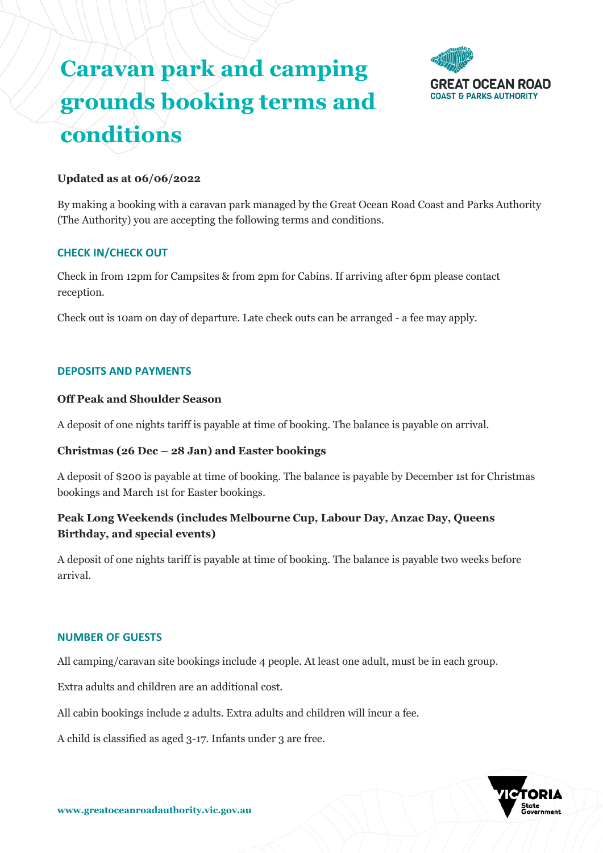# **Caravan park and camping grounds booking terms and conditions**



# **Updated as at 06/06/2022**

By making a booking with a caravan park managed by the Great Ocean Road Coast and Parks Authority (The Authority) you are accepting the following terms and conditions.

# **CHECK IN/CHECK OUT**

Check in from 12pm for Campsites & from 2pm for Cabins. If arriving after 6pm please contact reception.

Check out is 10am on day of departure. Late check outs can be arranged - a fee may apply.

# **DEPOSITS AND PAYMENTS**

## **Off Peak and Shoulder Season**

A deposit of one nights tariff is payable at time of booking. The balance is payable on arrival.

# **Christmas (26 Dec – 28 Jan) and Easter bookings**

A deposit of \$200 is payable at time of booking. The balance is payable by December 1st for Christmas bookings and March 1st for Easter bookings.

# **Peak Long Weekends (includes Melbourne Cup, Labour Day, Anzac Day, Queens Birthday, and special events)**

A deposit of one nights tariff is payable at time of booking. The balance is payable two weeks before arrival.

## **NUMBER OF GUESTS**

All camping/caravan site bookings include 4 people. At least one adult, must be in each group.

Extra adults and children are an additional cost.

All cabin bookings include 2 adults. Extra adults and children will incur a fee.

A child is classified as aged 3-17. Infants under 3 are free.

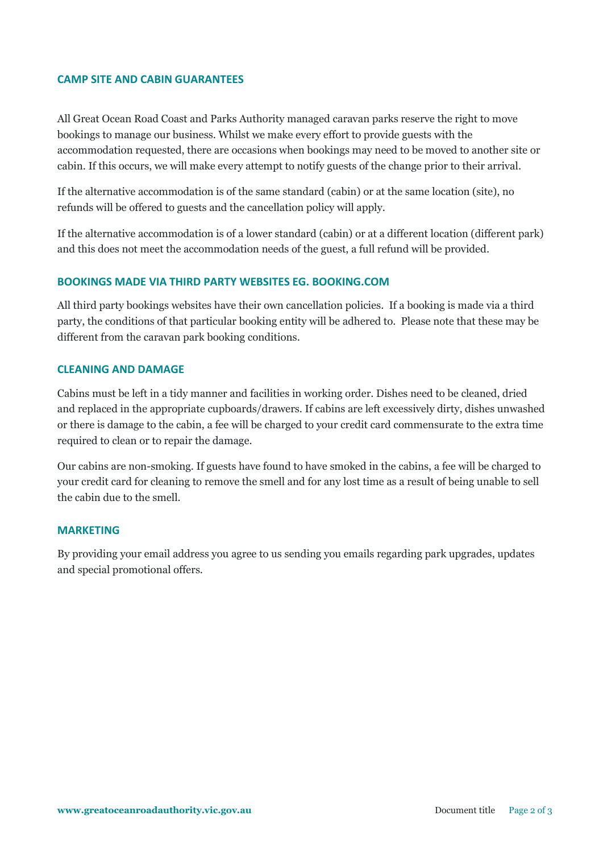## **CAMP SITE AND CABIN GUARANTEES**

All Great Ocean Road Coast and Parks Authority managed caravan parks reserve the right to move bookings to manage our business. Whilst we make every effort to provide guests with the accommodation requested, there are occasions when bookings may need to be moved to another site or cabin. If this occurs, we will make every attempt to notify guests of the change prior to their arrival.

If the alternative accommodation is of the same standard (cabin) or at the same location (site), no refunds will be offered to guests and the cancellation policy will apply.

If the alternative accommodation is of a lower standard (cabin) or at a different location (different park) and this does not meet the accommodation needs of the guest, a full refund will be provided.

# **BOOKINGS MADE VIA THIRD PARTY WEBSITES EG. BOOKING.COM**

All third party bookings websites have their own cancellation policies. If a booking is made via a third party, the conditions of that particular booking entity will be adhered to. Please note that these may be different from the caravan park booking conditions.

## **CLEANING AND DAMAGE**

Cabins must be left in a tidy manner and facilities in working order. Dishes need to be cleaned, dried and replaced in the appropriate cupboards/drawers. If cabins are left excessively dirty, dishes unwashed or there is damage to the cabin, a fee will be charged to your credit card commensurate to the extra time required to clean or to repair the damage.

Our cabins are non-smoking. If guests have found to have smoked in the cabins, a fee will be charged to your credit card for cleaning to remove the smell and for any lost time as a result of being unable to sell the cabin due to the smell.

## **MARKETING**

By providing your email address you agree to us sending you emails regarding park upgrades, updates and special promotional offers.